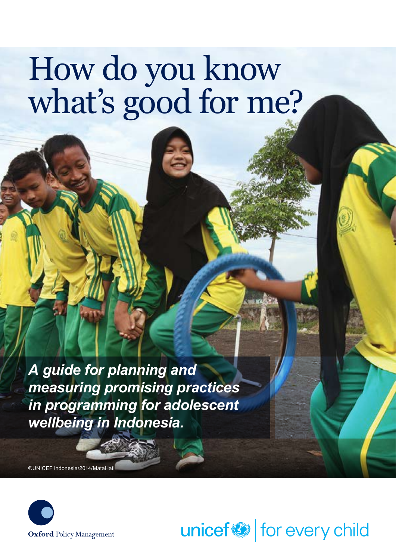# How do you know what's good for me?

*A guide for planning and measuring promising practices in programming for adolescent wellbeing in Indonesia.*

©UNICEF Indonesia/2014/MataHati



unicef<sup>®</sup> for every child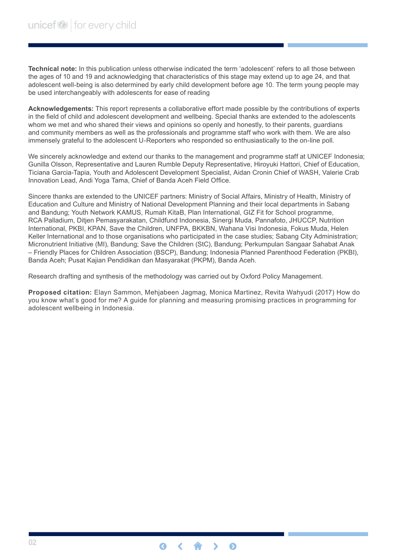**Technical note:** In this publication unless otherwise indicated the term 'adolescent' refers to all those between the ages of 10 and 19 and acknowledging that characteristics of this stage may extend up to age 24, and that adolescent well-being is also determined by early child development before age 10. The term young people may be used interchangeably with adolescents for ease of reading

**Acknowledgements:** This report represents a collaborative effort made possible by the contributions of experts in the field of child and adolescent development and wellbeing. Special thanks are extended to the adolescents whom we met and who shared their views and opinions so openly and honestly, to their parents, guardians and community members as well as the professionals and programme staff who work with them. We are also immensely grateful to the adolescent U-Reporters who responded so enthusiastically to the on-line poll.

We sincerely acknowledge and extend our thanks to the management and programme staff at UNICEF Indonesia; Gunilla Olsson, Representative and Lauren Rumble Deputy Representative, Hiroyuki Hattori, Chief of Education, Ticiana Garcia-Tapia, Youth and Adolescent Development Specialist, Aidan Cronin Chief of WASH, Valerie Crab Innovation Lead, Andi Yoga Tama, Chief of Banda Aceh Field Office.

Sincere thanks are extended to the UNICEF partners: Ministry of Social Affairs, Ministry of Health, Ministry of Education and Culture and Ministry of National Development Planning and their local departments in Sabang and Bandung; Youth Network KAMUS, Rumah KitaB, Plan International, GIZ Fit for School programme, RCA Palladium, Ditjen Pemasyarakatan, Childfund Indonesia, Sinergi Muda, Pannafoto, JHUCCP, Nutrition International, PKBI, KPAN, Save the Children, UNFPA, BKKBN, Wahana Visi Indonesia, Fokus Muda, Helen Keller International and to those organisations who participated in the case studies; Sabang City Administration; Micronutrient Initiative (MI), Bandung; Save the Children (StC), Bandung; Perkumpulan Sangaar Sahabat Anak – Friendly Places for Children Association (BSCP), Bandung; Indonesia Planned Parenthood Federation (PKBI), Banda Aceh; Pusat Kajian Pendidikan dan Masyarakat (PKPM), Banda Aceh.

Research drafting and synthesis of the methodology was carried out by Oxford Policy Management.

**Proposed citation:** Elayn Sammon, Mehjabeen Jagmag, Monica Martinez, Revita Wahyudi (2017) How do you know what's good for me? A guide for planning and measuring promising practices in programming for adolescent wellbeing in Indonesia.

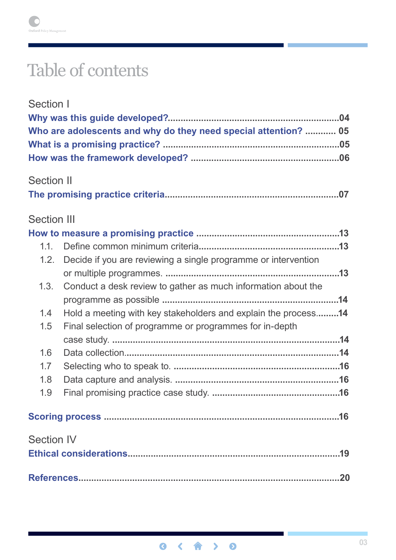# Table of contents

| Section I          |                                                                 |
|--------------------|-----------------------------------------------------------------|
|                    |                                                                 |
|                    | Who are adolescents and why do they need special attention?  05 |
|                    |                                                                 |
|                    |                                                                 |
|                    |                                                                 |
| <b>Section II</b>  |                                                                 |
|                    |                                                                 |
| <b>Section III</b> |                                                                 |
|                    |                                                                 |
| 1.1.               |                                                                 |
| 1.2.               | Decide if you are reviewing a single programme or intervention  |
|                    |                                                                 |
| 1.3.               | Conduct a desk review to gather as much information about the   |
|                    |                                                                 |
| 1.4                | Hold a meeting with key stakeholders and explain the process14  |
| 1.5                | Final selection of programme or programmes for in-depth         |
|                    |                                                                 |
| 1.6                |                                                                 |
| 1.7                |                                                                 |
| 1.8                |                                                                 |
| 1.9                |                                                                 |
|                    |                                                                 |
| <b>Section IV</b>  |                                                                 |
|                    |                                                                 |
|                    |                                                                 |
|                    |                                                                 |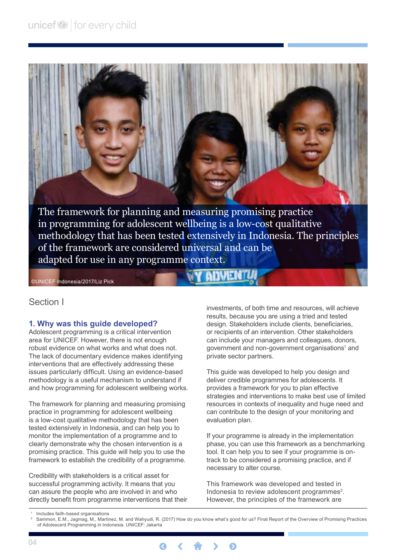<span id="page-3-0"></span>

©UNICEF Indonesia/2017/Liz Pick

#### Section I

#### **1. Why was this guide developed?**

Adolescent programming is a critical intervention area for UNICEF. However, there is not enough robust evidence on what works and what does not. The lack of documentary evidence makes identifying interventions that are effectively addressing these issues particularly difficult. Using an evidence-based methodology is a useful mechanism to understand if and how programming for adolescent wellbeing works.

The framework for planning and measuring promising practice in programming for adolescent wellbeing is a low-cost qualitative methodology that has been tested extensively in Indonesia, and can help you to monitor the implementation of a programme and to clearly demonstrate why the chosen intervention is a promising practice. This guide will help you to use the framework to establish the credibility of a programme.

Credibility with stakeholders is a critical asset for successful programming activity. It means that you can assure the people who are involved in and who directly benefit from programme interventions that their investments, of both time and resources, will achieve results, because you are using a tried and tested design. Stakeholders include clients, beneficiaries, or recipients of an intervention. Other stakeholders can include your managers and colleagues, donors, government and non-government organisations<sup>1</sup> and private sector partners.

This guide was developed to help you design and deliver credible programmes for adolescents. It provides a framework for you to plan effective strategies and interventions to make best use of limited resources in contexts of inequality and huge need and can contribute to the design of your monitoring and evaluation plan.

If your programme is already in the implementation phase, you can use this framework as a benchmarking tool. It can help you to see if your programme is ontrack to be considered a promising practice, and if necessary to alter course.

This framework was developed and tested in Indonesia to review adolescent programmes<sup>2</sup>. However, the principles of the framework are

 <sup>2</sup> Sammon, E.M., Jagmag, M., Martinez, M. and Wahyudi, R. (2017) How do you know what's good for us? Final Report of the Overview of Promising Practices of Adolescent Programming in Indonesia. UNICEF: Jakarta



 <sup>1</sup> Includes faith-based organisations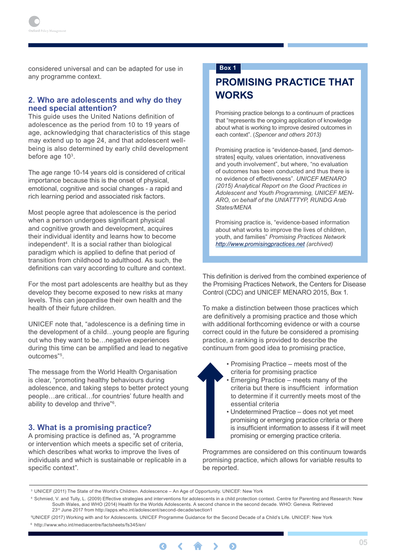<span id="page-4-0"></span>considered universal and can be adapted for use in any programme context.

#### **2. Who are adolescents and why do they need special attention?**

This guide uses the United Nations definition of adolescence as the period from 10 to 19 years of age, acknowledging that characteristics of this stage may extend up to age 24, and that adolescent wellbeing is also determined by early child development before age 10<sup>3</sup>.

The age range 10-14 years old is considered of critical importance because this is the onset of physical, emotional, cognitive and social changes - a rapid and rich learning period and associated risk factors.

Most people agree that adolescence is the period when a person undergoes significant physical and cognitive growth and development, acquires their individual identity and learns how to become independent4 . It is a social rather than biological paradigm which is applied to define that period of transition from childhood to adulthood. As such, the definitions can vary according to culture and context.

For the most part adolescents are healthy but as they develop they become exposed to new risks at many levels. This can jeopardise their own health and the health of their future children.

UNICEF note that, "adolescence is a defining time in the development of a child…young people are figuring out who they want to be…negative experiences during this time can be amplified and lead to negative outcomes"5 .

The message from the World Health Organisation is clear, "promoting healthy behaviours during adolescence, and taking steps to better protect young people…are critical…for countries' future health and ability to develop and thrive"6 .

#### **3. What is a promising practice?**

A promising practice is defined as, "A programme or intervention which meets a specific set of criteria, which describes what works to improve the lives of individuals and which is sustainable or replicable in a specific context".

#### **Box 1**

# **Promising Practice that Works**

Promising practice belongs to a continuum of practices that "represents the ongoing application of knowledge about what is working to improve desired outcomes in each context". (*Spencer and others 2013)*

Promising practice is "evidence-based, [and demonstrates] equity, values orientation, innovativeness and youth involvement", but where, "no evaluation of outcomes has been conducted and thus there is no evidence of effectiveness". *UNICEF MENARO (2015) Analytical Report on the Good Practices in Adolescent and Youth Programming, UNICEF MEN-ARO, on behalf of the UNIATTTYP, RUNDG Arab States/MENA*

Promising practice is, "evidence-based information about what works to improve the lives of children, youth, and families" *Promising Practices Network <http://www.promisingpractices.net> (archived)*

This definition is derived from the combined experience of the Promising Practices Network, the Centers for Disease Control (CDC) and UNICEF MENARO 2015, Box 1.

To make a distinction between those practices which are definitively a promising practice and those which with additional forthcoming evidence or with a course correct could in the future be considered a promising practice, a ranking is provided to describe the continuum from good idea to promising practice,

- Promising Practice meets most of the criteria for promising practice
- Emerging Practice meets many of the criteria but there is insufficient information to determine if it currently meets most of the essential criteria
- Undetermined Practice does not yet meet promising or emerging practice criteria or there is insufficient information to assess if it will meet promising or emerging practice criteria.

Programmes are considered on this continuum towards promising practice, which allows for variable results to be reported.

 <sup>5</sup>UNICEF (2017) Working with and for Adolescents. UNICEF Programme Guidance for the Second Decade of a Child's Life. UNICEF: New York <sup>6</sup> http://www.who.int/mediacentre/factsheets/fs345/en/



<sup>&</sup>lt;sup>3</sup> UNICEF (2011) The State of the World's Children. Adolescence – An Age of Opportunity. UNICEF: New York

 <sup>4</sup> Schmied, V. and Tully, L. (2009) Effective strategies and interventions for adolescents in a child protection context. Centre for Parenting and Research: New South Wales, and WHO (2014) Health for the Worlds Adolescents. A second chance in the second decade. WHO: Geneva. Retrieved 23rd June 2017 from http://apps.who.int/adolescent/second-decade/section1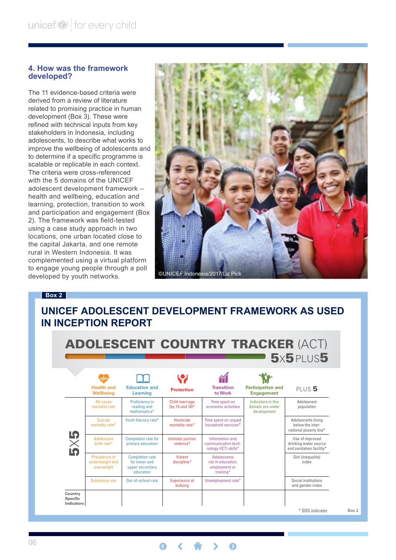#### <span id="page-5-0"></span>**4. How was the framework developed?**

The 11 evidence-based criteria were derived from a review of literature related to promising practice in human development (Box 3). These were refined with technical inputs from key stakeholders in Indonesia, including adolescents, to describe what works to improve the wellbeing of adolescents and to determine if a specific programme is scalable or replicable in each context. The criteria were cross-referenced with the 5 domains of the UNICEF adolescent development framework – health and wellbeing, education and learning, protection, transition to work and participation and engagement (Box 2). The framework was field-tested using a case study approach in two locations, one urban located close to the capital Jakarta, and one remote rural in Western Indonesia. It was complemented using a virtual platform to engage young people through a poll developed by youth networks.



#### **Box 2**

# **UNICEF adolescent development framework as used in Inception Report**

|                       |                                                |                                                                         |                                          |                                                                       |                                                       | $5x5$ PLUS $5$                                                       |  |
|-----------------------|------------------------------------------------|-------------------------------------------------------------------------|------------------------------------------|-----------------------------------------------------------------------|-------------------------------------------------------|----------------------------------------------------------------------|--|
|                       | <b>Health and</b><br>Wellbeing                 | <b>Education and</b><br>Learning                                        | <b>Protection</b>                        | <b>Transition</b><br>to Work                                          | <b>Participation and</b><br><b>Engagement</b>         | PLUS <sub>5</sub>                                                    |  |
| $\times$<br><b>IQ</b> | All cause<br>mortality rate                    | <b>Proficiency in</b><br>reading and<br>mathematics*                    | <b>Child marriage</b><br>(by 15 and 18)* | Time spent on<br>economic activities                                  | Indicators in this<br>domain are under<br>development | Adolescent<br>population                                             |  |
|                       | Suicide<br>mortality rate*                     | Youth literacy rate*                                                    | Homicide<br>mortality rate*              | Time spent on unpaid<br>household services*                           |                                                       | Adolescents living<br>below the inter-<br>national poverty line*     |  |
|                       | <b>Adolescent</b><br>hirth rate*               | <b>Completion rate for</b><br>primary education                         | Intimate partner<br>violence*            | Information and<br>communication tech-<br>nology (ICT) skills*        |                                                       | Use of improved<br>drinking water source<br>and sanitation facility* |  |
|                       | Prevalence of<br>underweight and<br>overweight | <b>Completion rate</b><br>for lower and<br>upper secondary<br>education | <b>Violent</b><br>discipline*            | <b>Adolescents</b><br>not in education.<br>employment or<br>training* |                                                       | Gini (inequality)<br>index                                           |  |
|                       | Substance use                                  | Out-of-school rate                                                      | <b>Experience of</b><br>bullying         | Unemployment rate*                                                    |                                                       | Social institutions<br>and gender index                              |  |

 $\bullet$ 

Q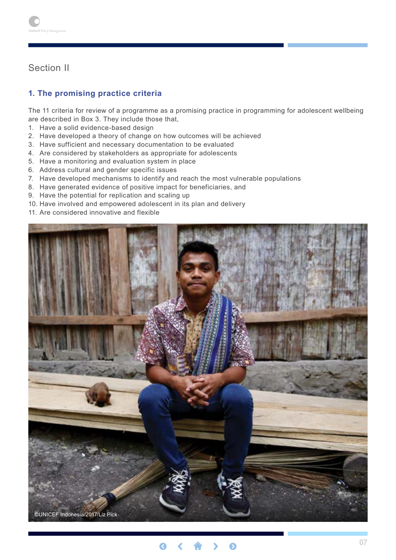# <span id="page-6-0"></span>Section II

## **1. The promising practice criteria**

The 11 criteria for review of a programme as a promising practice in programming for adolescent wellbeing are described in Box 3. They include those that,

- 1. Have a solid evidence-based design
- 2. Have developed a theory of change on how outcomes will be achieved
- 3. Have sufficient and necessary documentation to be evaluated
- 4. Are considered by stakeholders as appropriate for adolescents
- 5. Have a monitoring and evaluation system in place
- 6. Address cultural and gender specific issues
- 7. Have developed mechanisms to identify and reach the most vulnerable populations
- 8. Have generated evidence of positive impact for beneficiaries, and
- 9. Have the potential for replication and scaling up
- 10. Have involved and empowered adolescent in its plan and delivery
- 11. Are considered innovative and flexible



©UNICEF Indonesia/2017/Liz Pick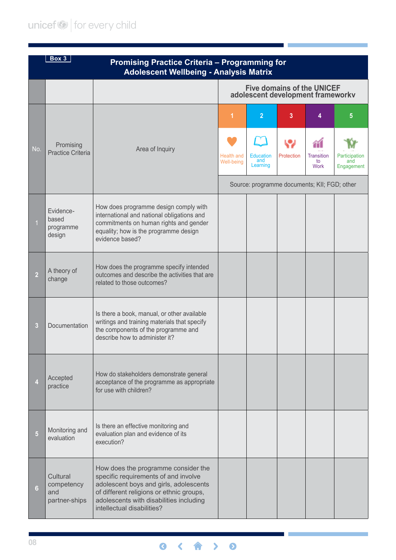# unicef<sup>(2)</sup> for every child

|                | Box 3<br><b>Promising Practice Criteria - Programming for</b><br><b>Adolescent Wellbeing - Analysis Matrix</b> |                                                                                                                                                                                                                                            |                                                                        |                                              |            |                                 |                                    |  |
|----------------|----------------------------------------------------------------------------------------------------------------|--------------------------------------------------------------------------------------------------------------------------------------------------------------------------------------------------------------------------------------------|------------------------------------------------------------------------|----------------------------------------------|------------|---------------------------------|------------------------------------|--|
|                |                                                                                                                |                                                                                                                                                                                                                                            | <b>Five domains of the UNICEF</b><br>adolescent development frameworkv |                                              |            |                                 |                                    |  |
|                |                                                                                                                |                                                                                                                                                                                                                                            | 1                                                                      | $\overline{2}$                               | 3          | 4                               | 5                                  |  |
| No.            | Promising<br><b>Practice Criteria</b>                                                                          | Area of Inquiry                                                                                                                                                                                                                            | <b>Health and</b><br>Well-being                                        | <b>Education</b><br>and<br>Learning          | Protection | <b>Transition</b><br>to<br>Work | Participation<br>and<br>Engagement |  |
|                |                                                                                                                |                                                                                                                                                                                                                                            |                                                                        | Source: programme documents; KII; FGD; other |            |                                 |                                    |  |
|                | Evidence-<br>based<br>programme<br>design                                                                      | How does programme design comply with<br>international and national obligations and<br>commitments on human rights and gender<br>equality; how is the programme design<br>evidence based?                                                  |                                                                        |                                              |            |                                 |                                    |  |
| 2              | A theory of<br>change                                                                                          | How does the programme specify intended<br>outcomes and describe the activities that are<br>related to those outcomes?                                                                                                                     |                                                                        |                                              |            |                                 |                                    |  |
| 3              | Documentation                                                                                                  | Is there a book, manual, or other available<br>writings and training materials that specify<br>the components of the programme and<br>describe how to administer it?                                                                       |                                                                        |                                              |            |                                 |                                    |  |
|                | Accepted<br>practice                                                                                           | How do stakeholders demonstrate general<br>acceptance of the programme as appropriate<br>for use with children?                                                                                                                            |                                                                        |                                              |            |                                 |                                    |  |
| $\overline{5}$ | Monitoring and<br>evaluation                                                                                   | Is there an effective monitoring and<br>evaluation plan and evidence of its<br>execution?                                                                                                                                                  |                                                                        |                                              |            |                                 |                                    |  |
| 6              | Cultural<br>competency<br>and<br>partner-ships                                                                 | How does the programme consider the<br>specific requirements of and involve<br>adolescent boys and girls, adolescents<br>of different religions or ethnic groups,<br>adolescents with disabilities including<br>intellectual disabilities? |                                                                        |                                              |            |                                 |                                    |  |

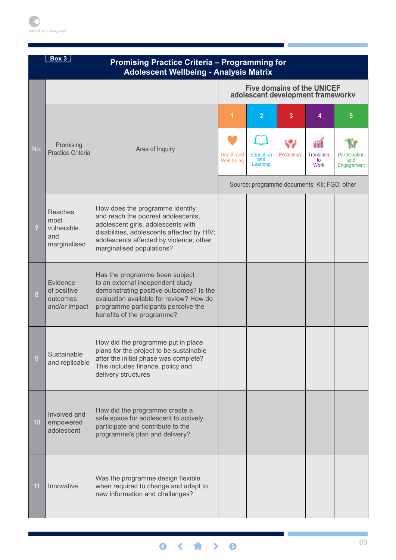|     | Box 3<br><b>Promising Practice Criteria - Programming for</b><br><b>Adolescent Wellbeing - Analysis Matrix</b> |                                                                                                                                                                                                                                   |                                                                        |                                                       |                 |                                      |                                         |  |
|-----|----------------------------------------------------------------------------------------------------------------|-----------------------------------------------------------------------------------------------------------------------------------------------------------------------------------------------------------------------------------|------------------------------------------------------------------------|-------------------------------------------------------|-----------------|--------------------------------------|-----------------------------------------|--|
|     |                                                                                                                |                                                                                                                                                                                                                                   | <b>Five domains of the UNICEF</b><br>adolescent development frameworkv |                                                       |                 |                                      |                                         |  |
| No. | Promising<br><b>Practice Criteria</b>                                                                          | Area of Inquiry                                                                                                                                                                                                                   | 1<br><b>Health and</b><br>Well-being                                   | $\overline{2}$<br><b>Education</b><br>and<br>Learning | 3<br>Protection | 4<br><b>Transition</b><br>to<br>Work | 5<br>Participation<br>and<br>Engagement |  |
| 7   | <b>Reaches</b><br>most<br>vulnerable<br>and<br>marginalised                                                    | How does the programme identify<br>and reach the poorest adolescents,<br>adolescent girls, adolescents with<br>disabilities, adolescents affected by HIV;<br>adolescents affected by violence; other<br>marginalised populations? |                                                                        | Source: programme documents; KII; FGD; other          |                 |                                      |                                         |  |
| 8   | Evidence<br>of positive<br>outcomes<br>and/or impact                                                           | Has the programme been subject<br>to an external independent study<br>demonstrating positive outcomes? Is the<br>evaluation available for review? How do<br>programme participants perceive the<br>benefits of the programme?     |                                                                        |                                                       |                 |                                      |                                         |  |
| 9   | Sustainable<br>and replicable                                                                                  | How did the programme put in place<br>plans for the project to be sustainable<br>after the initial phase was complete?<br>This includes finance, policy and<br>delivery structures                                                |                                                                        |                                                       |                 |                                      |                                         |  |
| 10  | Involved and<br>empowered<br>adolescent                                                                        | How did the programme create a<br>safe space for adolescent to actively<br>participate and contribute to the<br>programme's plan and delivery?                                                                                    |                                                                        |                                                       |                 |                                      |                                         |  |
| 11  | Innovative                                                                                                     | Was the programme design flexible<br>when required to change and adapt to<br>new information and challenges?                                                                                                                      |                                                                        |                                                       |                 |                                      |                                         |  |

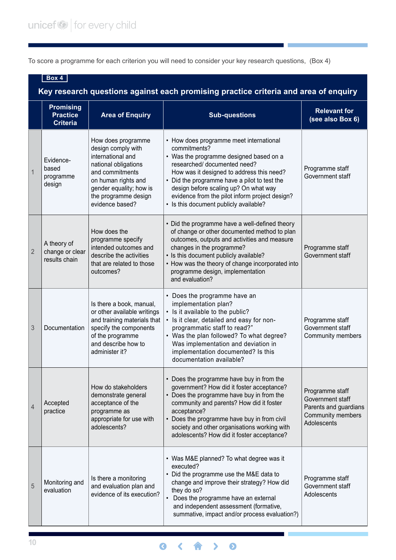To score a programme for each criterion you will need to consider your key research questions, (Box 4)

|                | Box 4<br>Key research questions against each promising practice criteria and area of enquiry |                                                                                                                                                                                                       |                                                                                                                                                                                                                                                                                                                                                                      |                                                                                                  |  |  |  |
|----------------|----------------------------------------------------------------------------------------------|-------------------------------------------------------------------------------------------------------------------------------------------------------------------------------------------------------|----------------------------------------------------------------------------------------------------------------------------------------------------------------------------------------------------------------------------------------------------------------------------------------------------------------------------------------------------------------------|--------------------------------------------------------------------------------------------------|--|--|--|
|                | <b>Promising</b><br><b>Practice</b><br><b>Criteria</b>                                       | <b>Area of Enquiry</b>                                                                                                                                                                                | <b>Sub-questions</b>                                                                                                                                                                                                                                                                                                                                                 | <b>Relevant for</b><br>(see also Box 6)                                                          |  |  |  |
| $\mathbf{1}$   | Evidence-<br>based<br>programme<br>design                                                    | How does programme<br>design comply with<br>international and<br>national obligations<br>and commitments<br>on human rights and<br>gender equality; how is<br>the programme design<br>evidence based? | • How does programme meet international<br>commitments?<br>• Was the programme designed based on a<br>researched/ documented need?<br>How was it designed to address this need?<br>• Did the programme have a pilot to test the<br>design before scaling up? On what way<br>evidence from the pilot inform project design?<br>• Is this document publicly available? | Programme staff<br>Government staff                                                              |  |  |  |
| $\overline{2}$ | A theory of<br>change or clear<br>results chain                                              | How does the<br>programme specify<br>intended outcomes and<br>describe the activities<br>that are related to those<br>outcomes?                                                                       | • Did the programme have a well-defined theory<br>of change or other documented method to plan<br>outcomes, outputs and activities and measure<br>changes in the programme?<br>• Is this document publicly available?<br>• How was the theory of change incorporated into<br>programme design, implementation<br>and evaluation?                                     | Programme staff<br>Government staff                                                              |  |  |  |
| 3              | Documentation                                                                                | Is there a book, manual,<br>or other available writings<br>and training materials that<br>specify the components<br>of the programme<br>and describe how to<br>administer it?                         | • Does the programme have an<br>implementation plan?<br>• Is it available to the public?<br>· Is it clear, detailed and easy for non-<br>programmatic staff to read?"<br>• Was the plan followed? To what degree?<br>Was implementation and deviation in<br>implementation documented? Is this<br>documentation available?                                           | Programme staff<br>Government staff<br>Community members                                         |  |  |  |
| $\overline{4}$ | Accepted<br>practice                                                                         | How do stakeholders<br>demonstrate general<br>acceptance of the<br>programme as<br>appropriate for use with<br>adolescents?                                                                           | • Does the programme have buy in from the<br>government? How did it foster acceptance?<br>• Does the programme have buy in from the<br>community and parents? How did it foster<br>acceptance?<br>• Does the programme have buy in from civil<br>society and other organisations working with<br>adolescents? How did it foster acceptance?                          | Programme staff<br>Government staff<br>Parents and guardians<br>Community members<br>Adolescents |  |  |  |
| 5              | Monitoring and<br>evaluation                                                                 | Is there a monitoring<br>and evaluation plan and<br>evidence of its execution?                                                                                                                        | • Was M&E planned? To what degree was it<br>executed?<br>• Did the programme use the M&E data to<br>change and improve their strategy? How did<br>they do so?<br>Does the programme have an external<br>and independent assessment (formative,<br>summative, impact and/or process evaluation?)                                                                      | Programme staff<br>Government staff<br>Adolescents                                               |  |  |  |

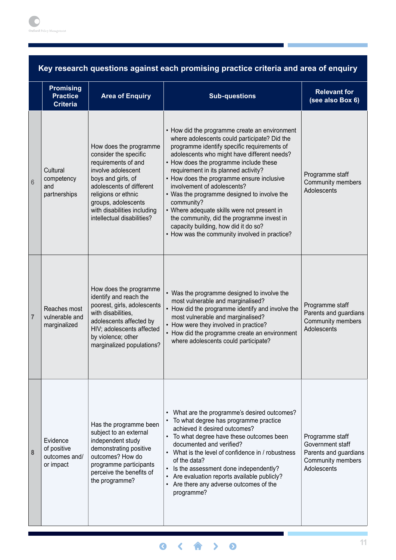| Key research questions against each promising practice criteria and area of enquiry |  |  |
|-------------------------------------------------------------------------------------|--|--|
|-------------------------------------------------------------------------------------|--|--|

|                | <b>Promising</b><br><b>Practice</b><br><b>Criteria</b> | <b>Area of Enquiry</b><br><b>Sub-questions</b>                                                                                                                                                                                                            |                                                                                                                                                                                                                                                                                                                                                                                                                                                                                                                                                                                                              | <b>Relevant for</b><br>(see also Box 6)                                                          |
|----------------|--------------------------------------------------------|-----------------------------------------------------------------------------------------------------------------------------------------------------------------------------------------------------------------------------------------------------------|--------------------------------------------------------------------------------------------------------------------------------------------------------------------------------------------------------------------------------------------------------------------------------------------------------------------------------------------------------------------------------------------------------------------------------------------------------------------------------------------------------------------------------------------------------------------------------------------------------------|--------------------------------------------------------------------------------------------------|
| 6              | Cultural<br>competency<br>and<br>partnerships          | How does the programme<br>consider the specific<br>requirements of and<br>involve adolescent<br>boys and girls, of<br>adolescents of different<br>religions or ethnic<br>groups, adolescents<br>with disabilities including<br>intellectual disabilities? | • How did the programme create an environment<br>where adolescents could participate? Did the<br>programme identify specific requirements of<br>adolescents who might have different needs?<br>• How does the programme include these<br>requirement in its planned activity?<br>• How does the programme ensure inclusive<br>involvement of adolescents?<br>• Was the programme designed to involve the<br>community?<br>• Where adequate skills were not present in<br>the community, did the programme invest in<br>capacity building, how did it do so?<br>• How was the community involved in practice? | Programme staff<br>Community members<br>Adolescents                                              |
| $\overline{7}$ | Reaches most<br>vulnerable and<br>marginalized         | How does the programme<br>identify and reach the<br>poorest, girls, adolescents<br>with disabilities,<br>adolescents affected by<br>HIV; adolescents affected<br>by violence; other<br>marginalized populations?                                          | • Was the programme designed to involve the<br>most vulnerable and marginalised?<br>• How did the programme identify and involve the<br>most vulnerable and marginalised?<br>• How were they involved in practice?<br>• How did the programme create an environment<br>where adolescents could participate?                                                                                                                                                                                                                                                                                                  | Programme staff<br>Parents and guardians<br>Community members<br>Adolescents                     |
| 8              | Evidence<br>of positive<br>outcomes and/<br>or impact  | Has the programme been<br>subject to an external<br>independent study<br>demonstrating positive<br>outcomes? How do<br>programme participants<br>perceive the benefits of<br>the programme?                                                               | What are the programme's desired outcomes?<br>$\bullet$<br>To what degree has programme practice<br>achieved it desired outcomes?<br>• To what degree have these outcomes been<br>documented and verified?<br>What is the level of confidence in / robustness<br>$\bullet$<br>of the data?<br>Is the assessment done independently?<br>$\bullet$<br>Are evaluation reports available publicly?<br>$\bullet$<br>Are there any adverse outcomes of the<br>$\bullet$<br>programme?                                                                                                                              | Programme staff<br>Government staff<br>Parents and guardians<br>Community members<br>Adolescents |

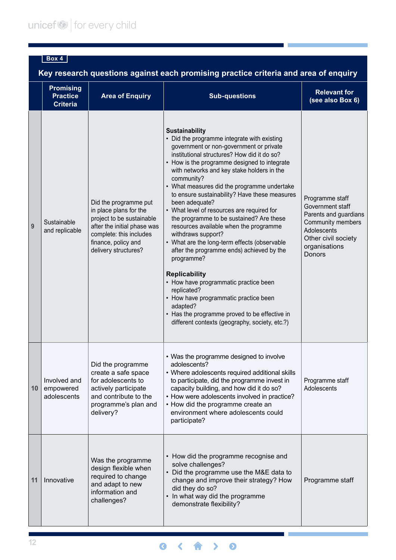# **Box 4**

**Key research questions against each promising practice criteria and area of enquiry**

|    | <b>Promising</b><br><b>Practice</b><br><b>Criteria</b> | <b>Area of Enquiry</b>                                                                                                                                                                                                                                                                                                                                                                                                                                                                                   | <b>Sub-questions</b>                                                                                                                                                                                                                                                                                                                                                                                                                                                                                                                                                                                                                                                                                                                                                                                                                                                                                      | <b>Relevant for</b><br>(see also Box 6)                                                                                                            |
|----|--------------------------------------------------------|----------------------------------------------------------------------------------------------------------------------------------------------------------------------------------------------------------------------------------------------------------------------------------------------------------------------------------------------------------------------------------------------------------------------------------------------------------------------------------------------------------|-----------------------------------------------------------------------------------------------------------------------------------------------------------------------------------------------------------------------------------------------------------------------------------------------------------------------------------------------------------------------------------------------------------------------------------------------------------------------------------------------------------------------------------------------------------------------------------------------------------------------------------------------------------------------------------------------------------------------------------------------------------------------------------------------------------------------------------------------------------------------------------------------------------|----------------------------------------------------------------------------------------------------------------------------------------------------|
| 9  | Sustainable<br>and replicable                          | Did the programme put<br>in place plans for the<br>project to be sustainable<br>after the initial phase was<br>complete: this includes<br>finance, policy and<br>delivery structures?                                                                                                                                                                                                                                                                                                                    | <b>Sustainability</b><br>• Did the programme integrate with existing<br>government or non-government or private<br>institutional structures? How did it do so?<br>• How is the programme designed to integrate<br>with networks and key stake holders in the<br>community?<br>• What measures did the programme undertake<br>to ensure sustainability? Have these measures<br>been adequate?<br>• What level of resources are required for<br>the programme to be sustained? Are these<br>resources available when the programme<br>withdraws support?<br>• What are the long-term effects (observable<br>after the programme ends) achieved by the<br>programme?<br><b>Replicability</b><br>• How have programmatic practice been<br>replicated?<br>• How have programmatic practice been<br>adapted?<br>• Has the programme proved to be effective in<br>different contexts (geography, society, etc.?) | Programme staff<br>Government staff<br>Parents and guardians<br>Community members<br>Adolescents<br>Other civil society<br>organisations<br>Donors |
| 10 | Involved and<br>empowered<br>adolescents               | • Was the programme designed to involve<br>adolescents?<br>Did the programme<br>create a safe space<br>• Where adolescents required additional skills<br>for adolescents to<br>to participate, did the programme invest in<br>capacity building, and how did it do so?<br>actively participate<br>and contribute to the<br>• How were adolescents involved in practice?<br>• How did the programme create an<br>programme's plan and<br>environment where adolescents could<br>delivery?<br>participate? |                                                                                                                                                                                                                                                                                                                                                                                                                                                                                                                                                                                                                                                                                                                                                                                                                                                                                                           | Programme staff<br>Adolescents                                                                                                                     |
| 11 | Innovative                                             | Was the programme<br>design flexible when<br>required to change<br>and adapt to new<br>information and<br>challenges?                                                                                                                                                                                                                                                                                                                                                                                    | • How did the programme recognise and<br>solve challenges?<br>• Did the programme use the M&E data to<br>change and improve their strategy? How<br>did they do so?<br>In what way did the programme<br>demonstrate flexibility?                                                                                                                                                                                                                                                                                                                                                                                                                                                                                                                                                                                                                                                                           | Programme staff                                                                                                                                    |

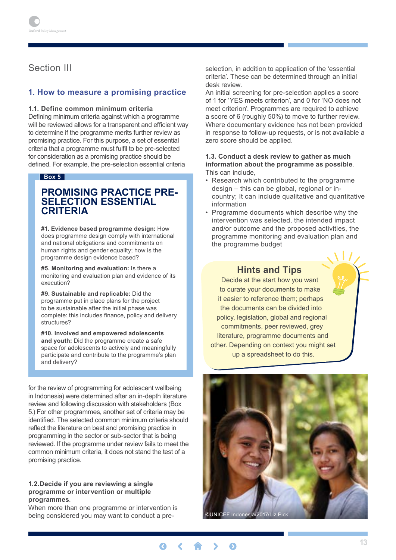# <span id="page-12-0"></span>Section III

#### **1. How to measure a promising practice**

#### **1.1. Define common minimum criteria**

Defining minimum criteria against which a programme will be reviewed allows for a transparent and efficient way to determine if the programme merits further review as promising practice. For this purpose, a set of essential criteria that a programme must fulfil to be pre-selected for consideration as a promising practice should be defined. For example, the pre-selection essential criteria

#### **Box 5**

# **promising practice pre- selection essential criteria**

**#1. Evidence based programme design:** How does programme design comply with international and national obligations and commitments on human rights and gender equality; how is the programme design evidence based?

**#5. Monitoring and evaluation:** Is there a monitoring and evaluation plan and evidence of its execution?

**#9. Sustainable and replicable:** Did the programme put in place plans for the project to be sustainable after the initial phase was complete: this includes finance, policy and delivery structures?

**#10. Involved and empowered adolescents and youth:** Did the programme create a safe space for adolescents to actively and meaningfully participate and contribute to the programme's plan and delivery?

for the review of programming for adolescent wellbeing in Indonesia) were determined after an in-depth literature review and following discussion with stakeholders (Box 5.) For other programmes, another set of criteria may be identified. The selected common minimum criteria should reflect the literature on best and promising practice in programming in the sector or sub-sector that is being reviewed. If the programme under review fails to meet the common minimum criteria, it does not stand the test of a promising practice.

#### **1.2.Decide if you are reviewing a single programme or intervention or multiple programmes**.

When more than one programme or intervention is being considered you may want to conduct a preselection, in addition to application of the 'essential criteria'. These can be determined through an initial desk review.

An initial screening for pre-selection applies a score of 1 for 'YES meets criterion', and 0 for 'NO does not meet criterion'. Programmes are required to achieve a score of 6 (roughly 50%) to move to further review. Where documentary evidence has not been provided in response to follow-up requests, or is not available a zero score should be applied.

#### **1.3. Conduct a desk review to gather as much information about the programme as possible**. This can include,

- Research which contributed to the programme design – this can be global, regional or incountry; It can include qualitative and quantitative information
- Programme documents which describe why the intervention was selected, the intended impact and/or outcome and the proposed activities, the programme monitoring and evaluation plan and the programme budget

#### **Hints and Tips**

Decide at the start how you want to curate your documents to make it easier to reference them; perhaps the documents can be divided into policy, legislation, global and regional commitments, peer reviewed, grey literature, programme documents and other. Depending on context you might set up a spreadsheet to do this.



 $\bullet$  $\epsilon$  $\bullet$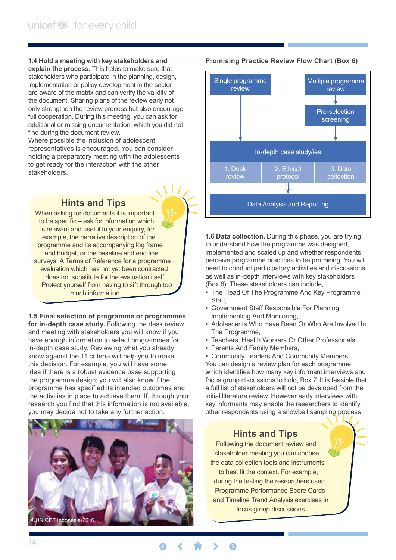<span id="page-13-0"></span>**1.4 Hold a meeting with key stakeholders and explain the process.** This helps to make sure that stakeholders who participate in the planning, design, implementation or policy development in the sector are aware of the matrix and can verify the validity of the document. Sharing plans of the review early not only strengthen the review process but also encourage full cooperation. During this meeting, you can ask for additional or missing documentation, which you did not find during the document review.

Where possible the inclusion of adolescent representatives is encouraged. You can consider holding a preparatory meeting with the adolescents to get ready for the interaction with the other stakeholders.

# **Hints and Tips**

When asking for documents it is important to be specific – ask for information which is relevant and useful to your enquiry, for example, the narrative description of the programme and its accompanying log frame and budget, or the baseline and end line surveys. A Terms of Reference for a programme evaluation which has not yet been contracted does not substitute for the evaluation itself. Protect yourself from having to sift through too much information.

#### **1.5 Final selection of programme or programmes**

**for in-depth case study.** Following the desk review and meeting with stakeholders you will know if you have enough information to select programmes for in-depth case study. Reviewing what you already know against the 11 criteria will help you to make this decision. For example, you will have some idea if there is a robust evidence base supporting the programme design; you will also know if the programme has specified its intended outcomes and the activities in place to achieve them. If, through your research you find that this information is not available, you may decide not to take any further action.



#### **Promising Practice Review Flow Chart (Box 6)**



**1.6 Data collection.** During this phase, you are trying to understand how the programme was designed, implemented and scaled up and whether respondents perceive programme practices to be promising. You will need to conduct participatory activities and discussions as well as in-depth interviews with key stakeholders (Box 8). These stakeholders can include,

- The Head Of The Programme And Key Programme Staff,
- Government Staff Responsible For Planning, Implementing And Monitoring,
- Adolescents Who Have Been Or Who Are Involved In The Programme,
- Teachers, Health Workers Or Other Professionals,
- Parents And Family Members,

• Community Leaders And Community Members. You can design a review plan for each programme which identifies how many key informant interviews and focus group discussions to hold, Box 7. It is feasible that a full list of stakeholders will not be developed from the initial literature review. However early interviews with key informants may enable the researchers to identify other respondents using a snowball sampling process.

### **Hints and Tips**

Following the document review and stakeholder meeting you can choose the data collection tools and instruments to best fit the context. For example, during the testing the researchers used Programme Performance Score Cards and Timeline Trend Analysis exercises in focus group discussions.

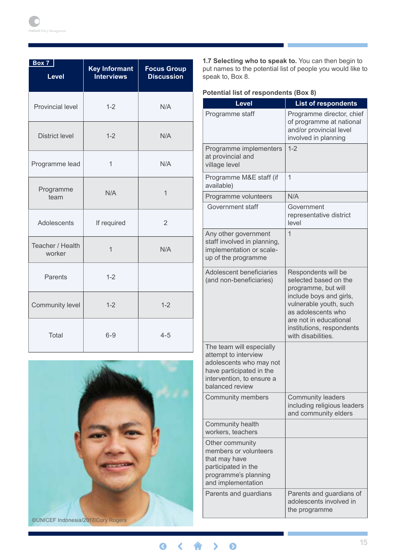| Box 7<br><b>Level</b>      | <b>Key Informant</b><br><b>Interviews</b> | <b>Focus Group</b><br><b>Discussion</b> |
|----------------------------|-------------------------------------------|-----------------------------------------|
| <b>Provincial level</b>    | $1 - 2$                                   | N/A                                     |
| <b>District level</b>      | $1 - 2$                                   | N/A                                     |
| Programme lead             | 1                                         | N/A                                     |
| Programme<br>team          | N/A                                       | 1                                       |
| Adolescents                | If required                               | $\overline{2}$                          |
| Teacher / Health<br>worker | $\mathbf 1$                               | N/A                                     |
| Parents                    | $1 - 2$                                   |                                         |
| Community level            | $1 - 2$                                   | $1 - 2$                                 |
| <b>Total</b>               | $6 - 9$                                   | $4 - 5$                                 |



**1.7 Selecting who to speak to.** You can then begin to put names to the potential list of people you would like to speak to, Box 8.

|  |  | <b>Potential list of respondents (Box 8)</b> |  |  |
|--|--|----------------------------------------------|--|--|
|--|--|----------------------------------------------|--|--|

| <b>Level</b>                                                                                                                                            | <b>List of respondents</b>                                                                                                                                                                                                  |
|---------------------------------------------------------------------------------------------------------------------------------------------------------|-----------------------------------------------------------------------------------------------------------------------------------------------------------------------------------------------------------------------------|
| Programme staff                                                                                                                                         | Programme director, chief<br>of programme at national<br>and/or provincial level<br>involved in planning                                                                                                                    |
| Programme implementers<br>at provincial and<br>village level                                                                                            | $1 - 2$                                                                                                                                                                                                                     |
| Programme M&E staff (if<br>available)                                                                                                                   | 1                                                                                                                                                                                                                           |
| Programme volunteers                                                                                                                                    | N/A                                                                                                                                                                                                                         |
| Government staff                                                                                                                                        | Government<br>representative district<br>level                                                                                                                                                                              |
| Any other government<br>staff involved in planning,<br>implementation or scale-<br>up of the programme                                                  | 1                                                                                                                                                                                                                           |
| Adolescent beneficiaries<br>(and non-beneficiaries)                                                                                                     | Respondents will be<br>selected based on the<br>programme, but will<br>include boys and girls,<br>vulnerable youth, such<br>as adolescents who<br>are not in educational<br>institutions, respondents<br>with disabilities. |
| The team will especially<br>attempt to interview<br>adolescents who may not<br>have participated in the<br>intervention, to ensure a<br>balanced review |                                                                                                                                                                                                                             |
| <b>Community members</b>                                                                                                                                | <b>Community leaders</b><br>including religious leaders<br>and community elders                                                                                                                                             |
| Community health<br>workers, teachers                                                                                                                   |                                                                                                                                                                                                                             |
| Other community<br>members or volunteers<br>that may have<br>participated in the<br>programme's planning<br>and implementation                          |                                                                                                                                                                                                                             |
| Parents and guardians                                                                                                                                   | Parents and guardians of<br>adolescents involved in<br>the programme                                                                                                                                                        |

8< A > 0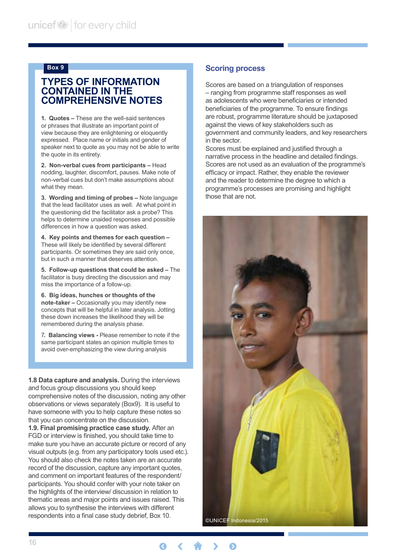#### <span id="page-15-0"></span>**Box 9**

### **Types of information contained in the comprehensive notes**

**1. Quotes –** These are the well-said sentences or phrases that illustrate an important point of view because they are enlightening or eloquently expressed. Place name or initials and gender of speaker next to quote as you may not be able to write the quote in its entirety.

**2. Non-verbal cues from participants –** Head nodding, laughter, discomfort, pauses. Make note of non-verbal cues but don't make assumptions about what they mean.

**3. Wording and timing of probes –** Note language that the lead facilitator uses as well. At what point in the questioning did the facilitator ask a probe? This helps to determine unaided responses and possible differences in how a question was asked.

**4. Key points and themes for each question –**  These will likely be identified by several different participants. Or sometimes they are said only once, but in such a manner that deserves attention.

**5. Follow-up questions that could be asked –** The facilitator is busy directing the discussion and may miss the importance of a follow-up.

**6. Big ideas, hunches or thoughts of the note-taker –** Occasionally you may identify new concepts that will be helpful in later analysis. Jotting these down increases the likelihood they will be remembered during the analysis phase.

7**. Balancing views -** Please remember to note if the same participant states an opinion multiple times to avoid over-emphasizing the view during analysis

**1.8 Data capture and analysis.** During the interviews and focus group discussions you should keep comprehensive notes of the discussion, noting any other observations or views separately (Box9). It is useful to have someone with you to help capture these notes so that you can concentrate on the discussion.

**1.9. Final promising practice case study.** After an FGD or interview is finished, you should take time to make sure you have an accurate picture or record of any visual outputs (e.g. from any participatory tools used etc.). You should also check the notes taken are an accurate record of the discussion, capture any important quotes, and comment on important features of the respondent/ participants. You should confer with your note taker on the highlights of the interview/ discussion in relation to thematic areas and major points and issues raised. This allows you to synthesise the interviews with different respondents into a final case study debrief, Box 10.

#### **Scoring process**

Scores are based on a triangulation of responses – ranging from programme staff responses as well as adolescents who were beneficiaries or intended beneficiaries of the programme. To ensure findings are robust, programme literature should be juxtaposed against the views of key stakeholders such as government and community leaders, and key researchers in the sector.

Scores must be explained and justified through a narrative process in the headline and detailed findings. Scores are not used as an evaluation of the programme's efficacy or impact. Rather, they enable the reviewer and the reader to determine the degree to which a programme's processes are promising and highlight those that are not.



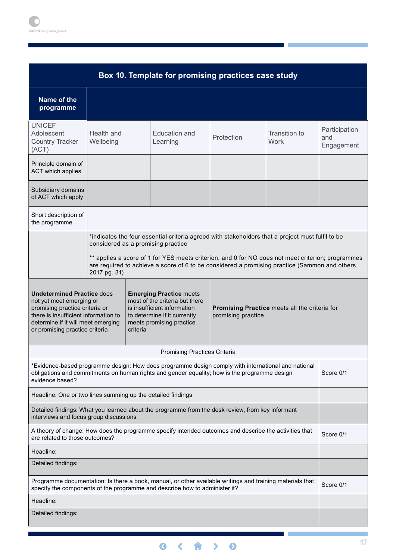| Box 10. Template for promising practices case study                                                                                                                                                             |                                                                                                                                                                                                                    |          |                                                                                                                                                                                                                                    |            |                              |                                    |
|-----------------------------------------------------------------------------------------------------------------------------------------------------------------------------------------------------------------|--------------------------------------------------------------------------------------------------------------------------------------------------------------------------------------------------------------------|----------|------------------------------------------------------------------------------------------------------------------------------------------------------------------------------------------------------------------------------------|------------|------------------------------|------------------------------------|
| Name of the<br>programme                                                                                                                                                                                        |                                                                                                                                                                                                                    |          |                                                                                                                                                                                                                                    |            |                              |                                    |
| <b>UNICEF</b><br>Adolescent<br>Health and<br><b>Country Tracker</b><br>Wellbeing<br>(ACT)                                                                                                                       |                                                                                                                                                                                                                    |          | Education and<br>Learning                                                                                                                                                                                                          | Protection | Transition to<br><b>Work</b> | Participation<br>and<br>Engagement |
| Principle domain of<br>ACT which applies                                                                                                                                                                        |                                                                                                                                                                                                                    |          |                                                                                                                                                                                                                                    |            |                              |                                    |
| Subsidiary domains<br>of ACT which apply                                                                                                                                                                        |                                                                                                                                                                                                                    |          |                                                                                                                                                                                                                                    |            |                              |                                    |
| Short description of<br>the programme                                                                                                                                                                           |                                                                                                                                                                                                                    |          |                                                                                                                                                                                                                                    |            |                              |                                    |
|                                                                                                                                                                                                                 |                                                                                                                                                                                                                    |          | *indicates the four essential criteria agreed with stakeholders that a project must fulfil to be<br>considered as a promising practice                                                                                             |            |                              |                                    |
|                                                                                                                                                                                                                 | ** applies a score of 1 for YES meets criterion, and 0 for NO does not meet criterion; programmes<br>are required to achieve a score of 6 to be considered a promising practice (Sammon and others<br>2017 pg. 31) |          |                                                                                                                                                                                                                                    |            |                              |                                    |
| <b>Undetermined Practice does</b><br>not yet meet emerging or<br>promising practice criteria or<br>there is insufficient information to<br>determine if it will meet emerging<br>or promising practice criteria |                                                                                                                                                                                                                    | criteria | <b>Emerging Practice meets</b><br>most of the criteria but there<br>is insufficient information<br>Promising Practice meets all the criteria for<br>promising practice<br>to determine if it currently<br>meets promising practice |            |                              |                                    |
|                                                                                                                                                                                                                 |                                                                                                                                                                                                                    |          | <b>Promising Practices Criteria</b>                                                                                                                                                                                                |            |                              |                                    |
| evidence based?                                                                                                                                                                                                 |                                                                                                                                                                                                                    |          | Evidence-based programme design: How does programme design comply with international and national*<br>obligations and commitments on human rights and gender equality; how is the programme design                                 |            |                              | Score 0/1                          |
| Headline: One or two lines summing up the detailed findings                                                                                                                                                     |                                                                                                                                                                                                                    |          |                                                                                                                                                                                                                                    |            |                              |                                    |
| interviews and focus group discussions                                                                                                                                                                          |                                                                                                                                                                                                                    |          | Detailed findings: What you learned about the programme from the desk review, from key informant                                                                                                                                   |            |                              |                                    |
| are related to those outcomes?                                                                                                                                                                                  |                                                                                                                                                                                                                    |          | A theory of change: How does the programme specify intended outcomes and describe the activities that                                                                                                                              |            |                              | Score 0/1                          |
| Headline:                                                                                                                                                                                                       |                                                                                                                                                                                                                    |          |                                                                                                                                                                                                                                    |            |                              |                                    |
| Detailed findings:                                                                                                                                                                                              |                                                                                                                                                                                                                    |          |                                                                                                                                                                                                                                    |            |                              |                                    |
|                                                                                                                                                                                                                 |                                                                                                                                                                                                                    |          | Programme documentation: Is there a book, manual, or other available writings and training materials that<br>specify the components of the programme and describe how to administer it?                                            |            |                              | Score 0/1                          |
| Headline:                                                                                                                                                                                                       |                                                                                                                                                                                                                    |          |                                                                                                                                                                                                                                    |            |                              |                                    |
| Detailed findings:                                                                                                                                                                                              |                                                                                                                                                                                                                    |          |                                                                                                                                                                                                                                    |            |                              |                                    |
|                                                                                                                                                                                                                 |                                                                                                                                                                                                                    |          |                                                                                                                                                                                                                                    |            |                              |                                    |

T.

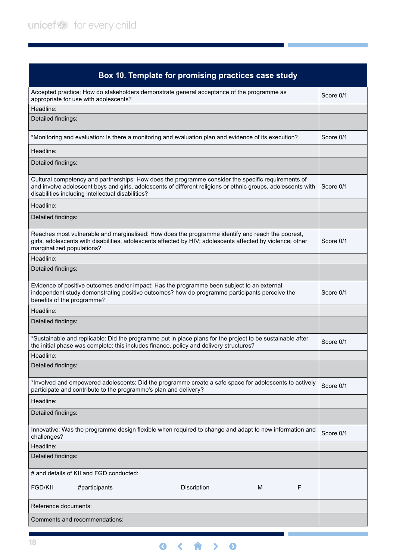| Box 10. Template for promising practices case study                                                                                                                                                                                                                     |           |
|-------------------------------------------------------------------------------------------------------------------------------------------------------------------------------------------------------------------------------------------------------------------------|-----------|
| Accepted practice: How do stakeholders demonstrate general acceptance of the programme as<br>appropriate for use with adolescents?                                                                                                                                      | Score 0/1 |
| Headline:                                                                                                                                                                                                                                                               |           |
| Detailed findings:                                                                                                                                                                                                                                                      |           |
| *Monitoring and evaluation: Is there a monitoring and evaluation plan and evidence of its execution?                                                                                                                                                                    | Score 0/1 |
| Headline:                                                                                                                                                                                                                                                               |           |
| Detailed findings:                                                                                                                                                                                                                                                      |           |
| Cultural competency and partnerships: How does the programme consider the specific requirements of<br>and involve adolescent boys and girls, adolescents of different religions or ethnic groups, adolescents with<br>disabilities including intellectual disabilities? | Score 0/1 |
| Headline:                                                                                                                                                                                                                                                               |           |
| Detailed findings:                                                                                                                                                                                                                                                      |           |
| Reaches most vulnerable and marginalised: How does the programme identify and reach the poorest,<br>girls, adolescents with disabilities, adolescents affected by HIV; adolescents affected by violence; other<br>marginalized populations?                             | Score 0/1 |
| Headline:                                                                                                                                                                                                                                                               |           |
| Detailed findings:                                                                                                                                                                                                                                                      |           |
| Evidence of positive outcomes and/or impact: Has the programme been subject to an external<br>independent study demonstrating positive outcomes? how do programme participants perceive the<br>benefits of the programme?                                               | Score 0/1 |
| Headline:                                                                                                                                                                                                                                                               |           |
| Detailed findings:                                                                                                                                                                                                                                                      |           |
| *Sustainable and replicable: Did the programme put in place plans for the project to be sustainable after<br>the initial phase was complete: this includes finance, policy and delivery structures?                                                                     | Score 0/1 |
| Headline:                                                                                                                                                                                                                                                               |           |
| Detailed findings:                                                                                                                                                                                                                                                      |           |
| *Involved and empowered adolescents: Did the programme create a safe space for adolescents to actively<br>participate and contribute to the programme's plan and delivery?                                                                                              | Score 0/1 |
| Headline:                                                                                                                                                                                                                                                               |           |
| Detailed findings:                                                                                                                                                                                                                                                      |           |
| Innovative: Was the programme design flexible when required to change and adapt to new information and<br>challenges?                                                                                                                                                   | Score 0/1 |
| Headline:                                                                                                                                                                                                                                                               |           |
| Detailed findings:                                                                                                                                                                                                                                                      |           |
| # and details of KII and FGD conducted:                                                                                                                                                                                                                                 |           |
| F<br><b>FGD/KII</b><br>#participants<br>Discription<br>м                                                                                                                                                                                                                |           |
| Reference documents:                                                                                                                                                                                                                                                    |           |
| Comments and recommendations:                                                                                                                                                                                                                                           |           |

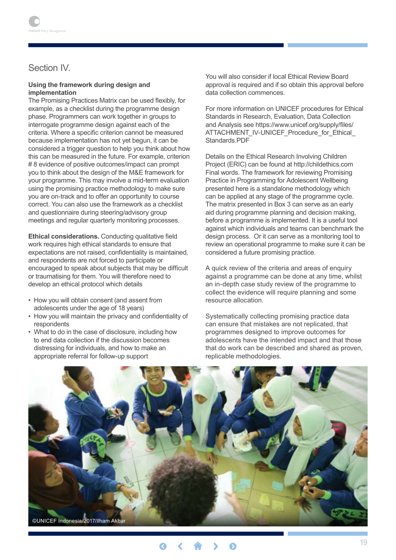# <span id="page-18-0"></span>Section IV.

#### **Using the framework during design and implementation**

The Promising Practices Matrix can be used flexibly, for example, as a checklist during the programme design phase. Programmers can work together in groups to interrogate programme design against each of the criteria. Where a specific criterion cannot be measured because implementation has not yet begun, it can be considered a trigger question to help you think about how this can be measured in the future. For example, criterion # 8 evidence of positive outcomes/impact can prompt you to think about the design of the M&E framework for your programme. This may involve a mid-term evaluation using the promising practice methodology to make sure you are on-track and to offer an opportunity to course correct. You can also use the framework as a checklist and questionnaire during steering/advisory group meetings and regular quarterly monitoring processes.

**Ethical considerations.** Conducting qualitative field work requires high ethical standards to ensure that expectations are not raised, confidentiality is maintained, and respondents are not forced to participate or encouraged to speak about subjects that may be difficult or traumatising for them. You will therefore need to develop an ethical protocol which details

- How you will obtain consent (and assent from adolescents under the age of 18 years)
- How you will maintain the privacy and confidentiality of respondents
- What to do in the case of disclosure, including how to end data collection if the discussion becomes distressing for individuals, and how to make an appropriate referral for follow-up support

You will also consider if local Ethical Review Board approval is required and if so obtain this approval before data collection commences.

For more information on UNICEF procedures for Ethical Standards in Research, Evaluation, Data Collection and Analysis see https://www.unicef.org/supply/files/ ATTACHMENT\_IV-UNICEF\_Procedure\_for\_Ethical\_ Standards.PDF

Details on the Ethical Research Involving Children Project (ERIC) can be found at http://childethics.com Final words. The framework for reviewing Promising Practice in Programming for Adolescent Wellbeing presented here is a standalone methodology which can be applied at any stage of the programme cycle. The matrix presented in Box 3 can serve as an early aid during programme planning and decision making, before a programme is implemented. It is a useful tool against which individuals and teams can benchmark the design process. Or it can serve as a monitoring tool to review an operational programme to make sure it can be considered a future promising practice.

A quick review of the criteria and areas of enquiry against a programme can be done at any time, whilst an in-depth case study review of the programme to collect the evidence will require planning and some resource allocation.

Systematically collecting promising practice data can ensure that mistakes are not replicated, that programmes designed to improve outcomes for adolescents have the intended impact and that those that do work can be described and shared as proven, replicable methodologies.